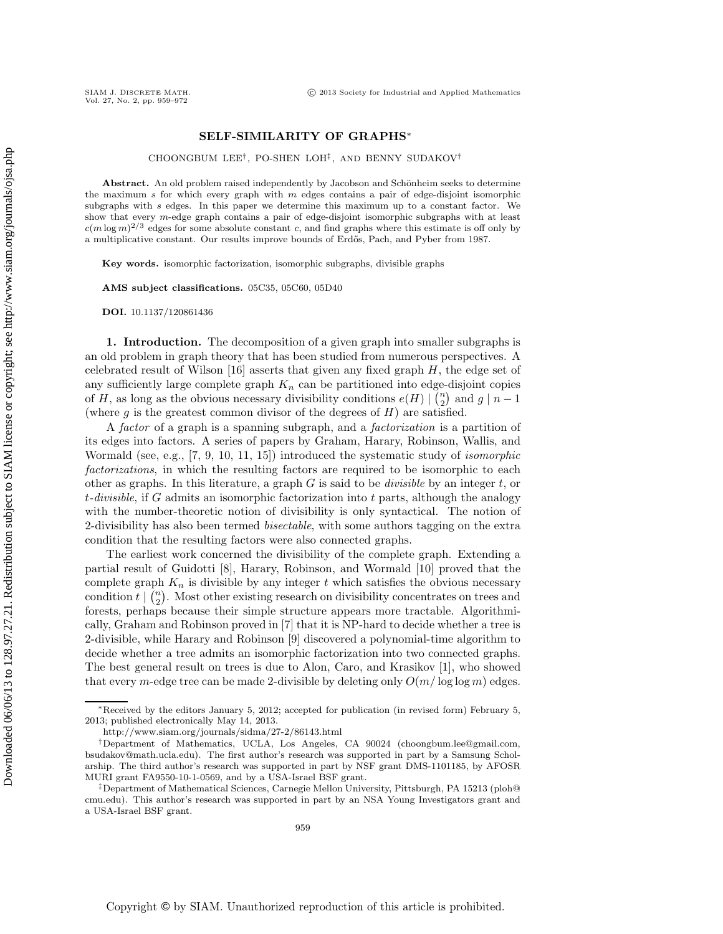## **SELF-SIMILARITY OF GRAPHS**∗

CHOONGBUM LEE†, PO-SHEN LOH‡, AND BENNY SUDAKOV†

Abstract. An old problem raised independently by Jacobson and Schönheim seeks to determine the maximum *s* for which every graph with *m* edges contains a pair of edge-disjoint isomorphic subgraphs with *s* edges. In this paper we determine this maximum up to a constant factor. We show that every *m*-edge graph contains a pair of edge-disjoint isomorphic subgraphs with at least  $c(m \log m)^{2/3}$  edges for some absolute constant *c*, and find graphs where this estimate is off only by a multiplicative constant. Our results improve bounds of Erdős, Pach, and Pyber from 1987.

**Key words.** isomorphic factorization, isomorphic subgraphs, divisible graphs

**AMS subject classifications.** 05C35, 05C60, 05D40

**DOI.** 10.1137/120861436

**1. Introduction.** The decomposition of a given graph into smaller subgraphs is an old problem in graph theory that has been studied from numerous perspectives. A celebrated result of Wilson  $[16]$  asserts that given any fixed graph  $H$ , the edge set of any sufficiently large complete graph  $K_n$  can be partitioned into edge-disjoint copies of H, as long as the obvious necessary divisibility conditions  $e(H) \mid {n \choose 2}$  and  $g \mid n-1$ (where  $g$  is the greatest common divisor of the degrees of  $H$ ) are satisfied.

A *factor* of a graph is a spanning subgraph, and a *factorization* is a partition of its edges into factors. A series of papers by Graham, Harary, Robinson, Wallis, and Wormald (see, e.g., [7, 9, 10, 11, 15]) introduced the systematic study of *isomorphic factorizations*, in which the resulting factors are required to be isomorphic to each other as graphs. In this literature, a graph G is said to be *divisible* by an integer t, or t*-divisible*, if G admits an isomorphic factorization into t parts, although the analogy with the number-theoretic notion of divisibility is only syntactical. The notion of 2-divisibility has also been termed *bisectable*, with some authors tagging on the extra condition that the resulting factors were also connected graphs.

The earliest work concerned the divisibility of the complete graph. Extending a partial result of Guidotti [8], Harary, Robinson, and Wormald [10] proved that the complete graph  $K_n$  is divisible by any integer t which satisfies the obvious necessary condition  $t \mid {n \choose 2}$ . Most other existing research on divisibility concentrates on trees and forests, perhaps because their simple structure appears more tractable. Algorithmically, Graham and Robinson proved in [7] that it is NP-hard to decide whether a tree is 2-divisible, while Harary and Robinson [9] discovered a polynomial-time algorithm to decide whether a tree admits an isomorphic factorization into two connected graphs. The best general result on trees is due to Alon, Caro, and Krasikov [1], who showed that every m-edge tree can be made 2-divisible by deleting only  $O(m/\log \log m)$  edges.

<sup>∗</sup>Received by the editors January 5, 2012; accepted for publication (in revised form) February 5, 2013; published electronically May 14, 2013.

http://www.siam.org/journals/sidma/27-2/86143.html

<sup>†</sup>Department of Mathematics, UCLA, Los Angeles, CA 90024 (choongbum.lee@gmail.com, bsudakov@math.ucla.edu). The first author's research was supported in part by a Samsung Scholarship. The third author's research was supported in part by NSF grant DMS-1101185, by AFOSR MURI grant FA9550-10-1-0569, and by a USA-Israel BSF grant.

<sup>‡</sup>Department of Mathematical Sciences, Carnegie Mellon University, Pittsburgh, PA 15213 (ploh@ cmu.edu). This author's research was supported in part by an NSA Young Investigators grant and a USA-Israel BSF grant.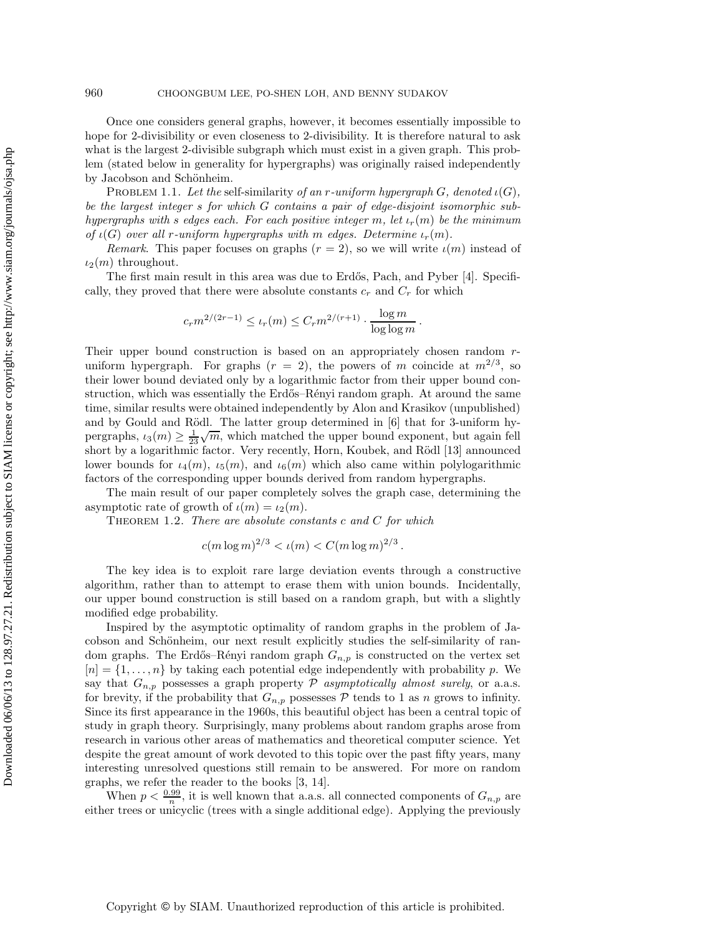Once one considers general graphs, however, it becomes essentially impossible to hope for 2-divisibility or even closeness to 2-divisibility. It is therefore natural to ask what is the largest 2-divisible subgraph which must exist in a given graph. This problem (stated below in generality for hypergraphs) was originally raised independently by Jacobson and Schönheim.

Problem 1.1. *Let the* self-similarity *of an* r*-uniform hypergraph* G*, denoted* ι(G)*, be the largest integer* s *for which* G *contains a pair of edge-disjoint isomorphic subhypergraphs with* s *edges each. For each positive integer* m, let  $\iota_r(m)$  be the minimum *of*  $\iota(G)$  *over all r-uniform hypergraphs with* m *edges. Determine*  $\iota_r(m)$ *.* 

*Remark*. This paper focuses on graphs  $(r = 2)$ , so we will write  $\iota(m)$  instead of  $\iota_2(m)$  throughout.

The first main result in this area was due to Erdős, Pach, and Pyber [4]. Specifically, they proved that there were absolute constants  $c_r$  and  $C_r$  for which

$$
c_r m^{2/(2r-1)} \leq \iota_r(m) \leq C_r m^{2/(r+1)} \cdot \frac{\log m}{\log \log m}.
$$

Their upper bound construction is based on an appropriately chosen random runiform hypergraph. For graphs  $(r = 2)$ , the powers of m coincide at  $m^{2/3}$ , so their lower bound deviated only by a logarithmic factor from their upper bound construction, which was essentially the Erdős–Rényi random graph. At around the same time, similar results were obtained independently by Alon and Krasikov (unpublished) and by Gould and Rödl. The latter group determined in  $[6]$  that for 3-uniform hypergraphs,  $\iota_3(m) \geq \frac{1}{23} \sqrt{m}$ , which matched the upper bound exponent, but again fell<br>chart by a lagainthmic factor. Very receptly Harn, Keyhel, and Bädl [12] appearsed short by a logarithmic factor. Very recently, Horn, Koubek, and Rödl [13] announced lower bounds for  $\iota_4(m)$ ,  $\iota_5(m)$ , and  $\iota_6(m)$  which also came within polylogarithmic factors of the corresponding upper bounds derived from random hypergraphs.

The main result of our paper completely solves the graph case, determining the asymptotic rate of growth of  $\iota(m) = \iota_2(m)$ .

Theorem 1.2. *There are absolute constants* c *and* C *for which*

$$
c(m \log m)^{2/3} < \iota(m) < C(m \log m)^{2/3}.
$$

The key idea is to exploit rare large deviation events through a constructive algorithm, rather than to attempt to erase them with union bounds. Incidentally, our upper bound construction is still based on a random graph, but with a slightly modified edge probability.

Inspired by the asymptotic optimality of random graphs in the problem of Jacobson and Schönheim, our next result explicitly studies the self-similarity of random graphs. The Erdős–Rényi random graph  $G_{n,p}$  is constructed on the vertex set  $[n] = \{1, \ldots, n\}$  by taking each potential edge independently with probability p. We say that  $G_{n,p}$  possesses a graph property  $P$  *asymptotically almost surely*, or a.a.s. for brevity, if the probability that  $G_{n,p}$  possesses  $P$  tends to 1 as n grows to infinity. Since its first appearance in the 1960s, this beautiful object has been a central topic of study in graph theory. Surprisingly, many problems about random graphs arose from research in various other areas of mathematics and theoretical computer science. Yet despite the great amount of work devoted to this topic over the past fifty years, many interesting unresolved questions still remain to be answered. For more on random graphs, we refer the reader to the books [3, 14].

When  $p < \frac{0.99}{n}$ , it is well known that a.a.s. all connected components of  $G_{n,p}$  are either trees or unicyclic (trees with a single additional edge). Applying the previously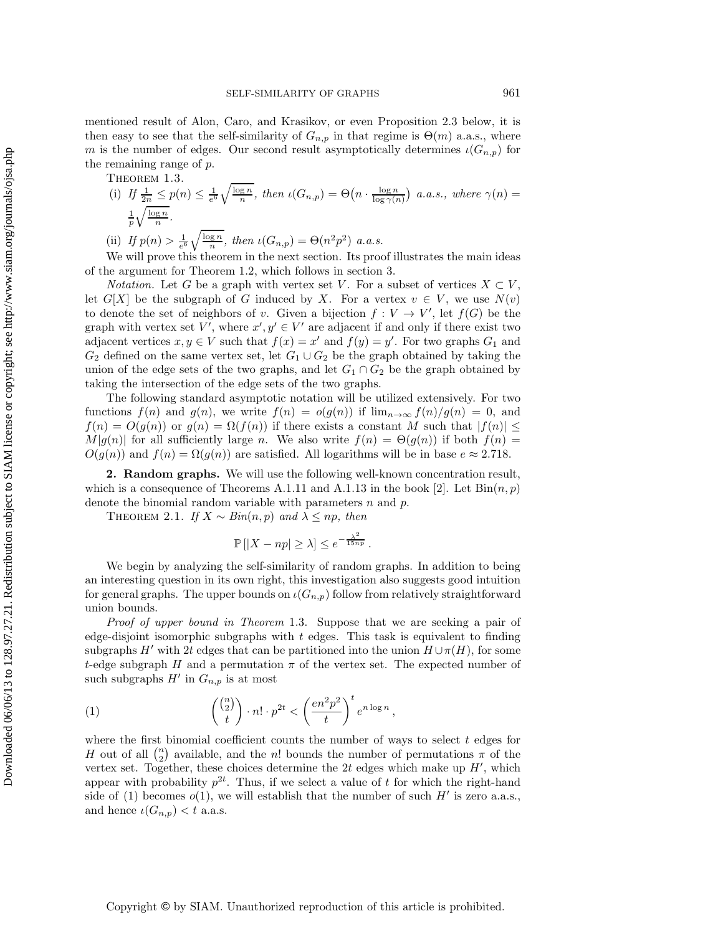mentioned result of Alon, Caro, and Krasikov, or even Proposition 2.3 below, it is then easy to see that the self-similarity of  $G_{n,p}$  in that regime is  $\Theta(m)$  a.a.s., where m is the number of edges. Our second result asymptotically determines  $\iota(G_{n,p})$  for the remaining range of p.

THEOREM 1.3.

(i) If 
$$
\frac{1}{2n} \le p(n) \le \frac{1}{e^6} \sqrt{\frac{\log n}{n}}
$$
, then  $\iota(G_{n,p}) = \Theta\left(n \cdot \frac{\log n}{\log \gamma(n)}\right)$  a.a.s., where  $\gamma(n) = \frac{1}{p} \sqrt{\frac{\log n}{n}}$ .  
\n(ii) If  $p(n) > \frac{1}{e^6} \sqrt{\frac{\log n}{n}}$ , then  $\iota(G_{n,p}) = \Theta(n^2 p^2)$  a.a.s.

We will prove this theorem in the next section. Its proof illustrates the main ideas of the argument for Theorem 1.2, which follows in section 3.

*Notation.* Let G be a graph with vertex set V. For a subset of vertices  $X \subset V$ . let  $G[X]$  be the subgraph of G induced by X. For a vertex  $v \in V$ , we use  $N(v)$ to denote the set of neighbors of v. Given a bijection  $f: V \to V'$ , let  $f(G)$  be the graph with vertex set V', where  $x', y' \in V'$  are adjacent if and only if there exist two adjacent vertices  $x, y \in V$  such that  $f(x) = x'$  and  $f(y) = y'$ . For two graphs  $G_1$  and  $G_2$  defined on the same vertex set let  $G_1 \cup G_2$  be the speak obtained by toling the  $G_2$  defined on the same vertex set, let  $G_1 \cup G_2$  be the graph obtained by taking the union of the edge sets of the two graphs, and let  $G_1 \cap G_2$  be the graph obtained by taking the intersection of the edge sets of the two graphs.

The following standard asymptotic notation will be utilized extensively. For two functions  $f(n)$  and  $g(n)$ , we write  $f(n) = o(g(n))$  if  $\lim_{n\to\infty} f(n)/g(n) = 0$ , and  $f(n) = O(g(n))$  or  $g(n) = \Omega(f(n))$  if there exists a constant M such that  $|f(n)| \leq$  $M|g(n)|$  for all sufficiently large n. We also write  $f(n) = \Theta(g(n))$  if both  $f(n) =$  $O(g(n))$  and  $f(n) = \Omega(g(n))$  are satisfied. All logarithms will be in base  $e \approx 2.718$ .

**2. Random graphs.** We will use the following well-known concentration result, which is a consequence of Theorems A.1.11 and A.1.13 in the book [2]. Let  $\text{Bin}(n, p)$ denote the binomial random variable with parameters n and p.

THEOREM 2.1. *If*  $X \sim Bin(n, p)$  *and*  $\lambda \leq np$ *, then* 

$$
\mathbb{P}\left[|X - np| \ge \lambda\right] \le e^{-\frac{\lambda^2}{15np}}.
$$

We begin by analyzing the self-similarity of random graphs. In addition to being an interesting question in its own right, this investigation also suggests good intuition for general graphs. The upper bounds on  $\iota(G_{n,p})$  follow from relatively straightforward union bounds.

*Proof of upper bound in Theorem* 1.3. Suppose that we are seeking a pair of edge-disjoint isomorphic subgraphs with  $t$  edges. This task is equivalent to finding subgraphs H' with 2t edges that can be partitioned into the union  $H \cup \pi(H)$ , for some t-edge subgraph H and a permutation  $\pi$  of the vertex set. The expected number of such subgraphs  $H'$  in  $G_{n,p}$  is at most

(1) 
$$
\binom{\binom{n}{2}}{t} \cdot n! \cdot p^{2t} < \left(\frac{en^2p^2}{t}\right)^t e^{n\log n},
$$

where the first binomial coefficient counts the number of ways to select  $t$  edges for H out of all  $\binom{n}{2}$  available, and the n! bounds the number of permutations  $\pi$  of the vertex set. Together, these choices determine the  $2t$  edges which make up  $H'$ , which appear with probability  $p^{2t}$ . Thus, if we select a value of t for which the right-hand side of (1) becomes  $o(1)$ , we will establish that the number of such H' is zero a.a.s., and hence  $\iota(G_{n,p}) < t$  a.a.s.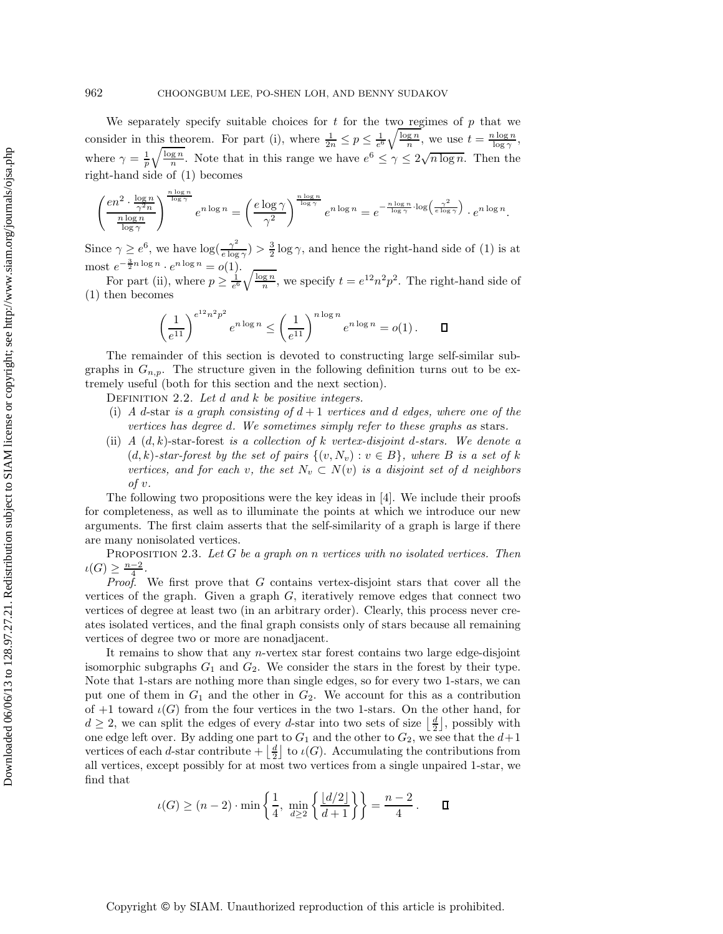We separately specify suitable choices for  $t$  for the two regimes of  $p$  that we consider in this theorem. For part (i), where  $\frac{1}{2n} \leq p \leq \frac{1}{e^6} \sqrt{\frac{\log n}{n}}$ , we use  $t = \frac{n \log n}{\log \gamma}$ , where  $\gamma = \frac{1}{n} \sqrt{\frac{\log n}{n}}$ . Note that in this range we have  $e^6 \leq \gamma \leq 2\sqrt{n \log n}$ . Then the right-hand side of (1) becomes

$$
\left(\frac{en^2\cdot \frac{\log n}{\gamma^2n}}{\frac{n\log n}{\log \gamma}}\right)^{\frac{n\log n}{\log \gamma}}e^{n\log n}=\left(\frac{e\log \gamma}{\gamma^2}\right)^{\frac{n\log n}{\log \gamma}}e^{n\log n}=e^{-\frac{n\log n}{\log \gamma}\cdot \log \left(\frac{\gamma^2}{e\log \gamma}\right)}\cdot e^{n\log n}.
$$

Since  $\gamma \geq e^6$ , we have  $\log(\frac{\gamma^2}{e \log \gamma}) > \frac{3}{2} \log \gamma$ , and hence the right-hand side of (1) is at most  $e^{-\frac{3}{2}n\log n} \cdot e^{n\log n} = o(1)$ .

For part (ii), where  $p \ge \frac{1}{e^6} \sqrt{\frac{\log n}{n}}$ , we specify  $t = e^{12} n^2 p^2$ . The right-hand side of (1) then becomes

$$
\left(\frac{1}{e^{11}}\right)^{e^{12}n^2p^2} e^{n \log n} \le \left(\frac{1}{e^{11}}\right)^{n \log n} e^{n \log n} = o(1). \qquad \Box
$$

The remainder of this section is devoted to constructing large self-similar subgraphs in  $G_{n,p}$ . The structure given in the following definition turns out to be extremely useful (both for this section and the next section).

Definition 2.2. *Let* d *and* k *be positive integers.*

- (i) *A* d-star *is a graph consisting of*  $d+1$  *vertices and d edges, where one of the vertices has degree* d*. We sometimes simply refer to these graphs as* stars*.*
- (ii) *A* (d, k)-star-forest *is a collection of* k *vertex-disjoint* d*-stars. We denote a*  $(d, k)$ -star-forest by the set of pairs  $\{(v, N_v) : v \in B\}$ , where B is a set of k *vertices, and for each v, the set*  $N_v \subset N(v)$  *is a disjoint set of d neighbors of* v*.*

The following two propositions were the key ideas in [4]. We include their proofs for completeness, as well as to illuminate the points at which we introduce our new arguments. The first claim asserts that the self-similarity of a graph is large if there are many nonisolated vertices.

Proposition 2.3. *Let* G *be a graph on* n *vertices with no isolated vertices. Then*  $\iota(G) \geq \frac{n-2}{4}.$ <br>*Proof* 

*Proof*. We first prove that G contains vertex-disjoint stars that cover all the vertices of the graph. Given a graph  $G$ , iteratively remove edges that connect two vertices of degree at least two (in an arbitrary order). Clearly, this process never creates isolated vertices, and the final graph consists only of stars because all remaining vertices of degree two or more are nonadjacent.

It remains to show that any n-vertex star forest contains two large edge-disjoint isomorphic subgraphs  $G_1$  and  $G_2$ . We consider the stars in the forest by their type. Note that 1-stars are nothing more than single edges, so for every two 1-stars, we can put one of them in  $G_1$  and the other in  $G_2$ . We account for this as a contribution of  $+1$  toward  $\iota(G)$  from the four vertices in the two 1-stars. On the other hand, for  $d \geq 2$ , we can split the edges of every d-star into two sets of size  $\left|\frac{d}{2}\right|$ , possibly with one edge left over. By adding one part to  $G_1$  and the other to  $G_2$ , we see that the  $d+1$ vertices of each d-star contribute  $+\left\lfloor \frac{d}{2} \right\rfloor$  to  $\iota(G)$ . Accumulating the contributions from 2 all vertices, except possibly for at most two vertices from a single unpaired 1-star, we find that

$$
\iota(G) \ge (n-2) \cdot \min\left\{\frac{1}{4}, \ \min_{d \ge 2} \left\{\frac{\lfloor d/2 \rfloor}{d+1}\right\}\right\} = \frac{n-2}{4} \,. \qquad \Box
$$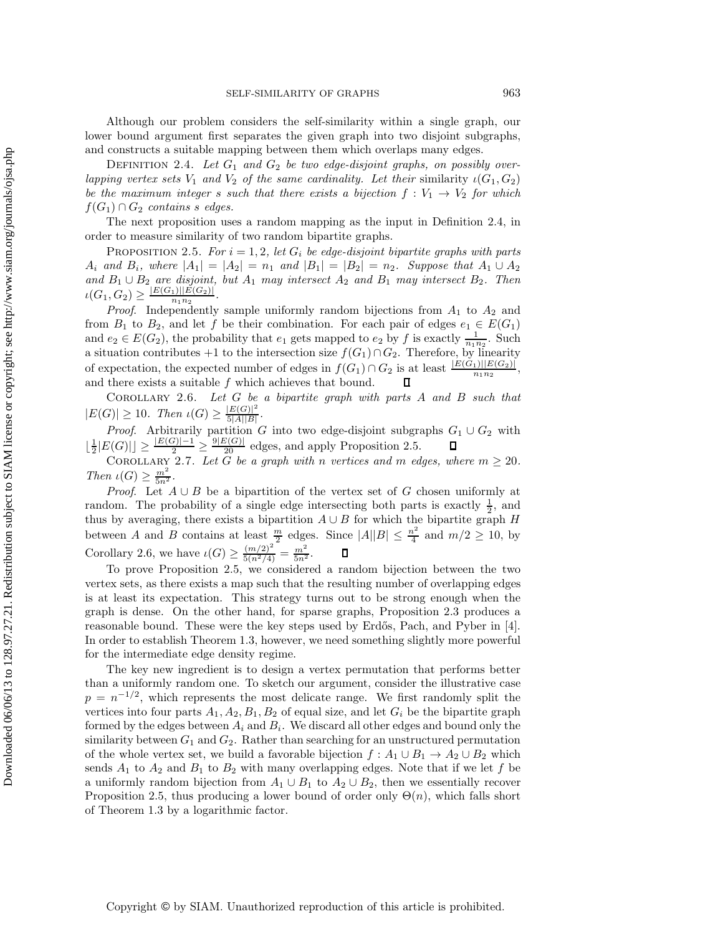Although our problem considers the self-similarity within a single graph, our lower bound argument first separates the given graph into two disjoint subgraphs, and constructs a suitable mapping between them which overlaps many edges.

DEFINITION 2.4. Let  $G_1$  and  $G_2$  be two edge-disjoint graphs, on possibly over*lapping vertex sets*  $V_1$  *and*  $V_2$  *of the same cardinality. Let their similarity*  $\iota(G_1, G_2)$ *be the maximum integer* s *such that there exists a bijection*  $f: V_1 \rightarrow V_2$  *for which*  $f(G_1) \cap G_2$  *contains s edges.* 

The next proposition uses a random mapping as the input in Definition 2.4, in order to measure similarity of two random bipartite graphs.

PROPOSITION 2.5. For  $i = 1, 2$ , let  $G_i$  be edge-disjoint bipartite graphs with parts  $A_i$  *and*  $B_i$ *, where*  $|A_1| = |A_2| = n_1$  *and*  $|B_1| = |B_2| = n_2$ *. Suppose that*  $A_1 ∪ A_2$ *and*  $B_1 \cup B_2$  *are disjoint, but*  $A_1$  *may intersect*  $A_2$  *and*  $B_1$  *may intersect*  $B_2$ *. Then*  $\iota(G_1, G_2) \ge \frac{|E(G_1)||\check{E}(G_2)|}{n_1 n_2}.$ <br>*Proof* Independently

*Proof.* Independently sample uniformly random bijections from  $A_1$  to  $A_2$  and from  $B_1$  to  $B_2$ , and let f be their combination. For each pair of edges  $e_1 \in E(G_1)$ and  $e_2 \in E(G_2)$ , the probability that  $e_1$  gets mapped to  $e_2$  by f is exactly  $\frac{1}{n_1 n_2}$ . Such a situation contributes +1 to the intersection size  $f(G_1) \cap G_2$ . Therefore, by linearity of expectation, the expected number of edges in  $f(G_1) \cap G_2$  is at least  $\frac{|E(G_1)||E(G_2)|}{n_1n_2}$ , and there exists a suitable  $f$  which achieves that bound.

Corollary 2.6. *Let* G *be a bipartite graph with parts* A *and* B *such that*  $|E(G)| \geq 10$ . Then  $\iota(G) \geq \frac{|E(G)|^2}{5|A||B|}$ .

*Proof.* Arbitrarily partition G into two edge-disjoint subgraphs  $G_1 \cup G_2$  with  $\lfloor \frac{1}{2} |E(G)| \rfloor \ge \frac{|E(G)| - 1}{2} \ge \frac{9 |E(G)|}{20}$  edges, and apply Proposition 2.5.  $\Box$ <br>COROLLARY 2.7. Let G be a graph with n vertices and

*Then*  $\iota(G) \geq \frac{m^2}{5n^2}$ .<br>*Proof* **I** of A

*Proof.* Let  $A ∪ B$  be a bipartition of the vertex set of G chosen uniformly at random. The probability of a single edge intersecting both parts is exactly  $\frac{1}{2}$ , and thus by averaging there exists a binartition  $A \cup B$  for which the binartite graph H thus by averaging, there exists a bipartition  $A \cup B$  for which the bipartite graph H between A and B contains at least  $\frac{m}{2}$  edges. Since  $|A||B| \le \frac{n^2}{4}$  and  $m/2 \ge 10$ , by<br>Corollary 2.6, we have  $\iota(G) \ge \frac{(m/2)^2}{5(n^2/4)} = \frac{m^2}{5n^2}$ .  $\Box$ 

To prove Proposition 2.5, we considered a random bijection between the two vertex sets, as there exists a map such that the resulting number of overlapping edges is at least its expectation. This strategy turns out to be strong enough when the graph is dense. On the other hand, for sparse graphs, Proposition 2.3 produces a reasonable bound. These were the key steps used by Erdős, Pach, and Pyber in [4]. In order to establish Theorem 1.3, however, we need something slightly more powerful for the intermediate edge density regime.

The key new ingredient is to design a vertex permutation that performs better than a uniformly random one. To sketch our argument, consider the illustrative case  $p = n^{-1/2}$ , which represents the most delicate range. We first randomly split the vertices into four parts  $A_1, A_2, B_1, B_2$  of equal size, and let  $G_i$  be the bipartite graph formed by the edges between  $A_i$  and  $B_i$ . We discard all other edges and bound only the similarity between  $G_1$  and  $G_2$ . Rather than searching for an unstructured permutation of the whole vertex set, we build a favorable bijection  $f : A_1 \cup B_1 \to A_2 \cup B_2$  which sends  $A_1$  to  $A_2$  and  $B_1$  to  $B_2$  with many overlapping edges. Note that if we let f be a uniformly random bijection from  $A_1 \cup B_1$  to  $A_2 \cup B_2$ , then we essentially recover Proposition 2.5, thus producing a lower bound of order only  $\Theta(n)$ , which falls short of Theorem 1.3 by a logarithmic factor.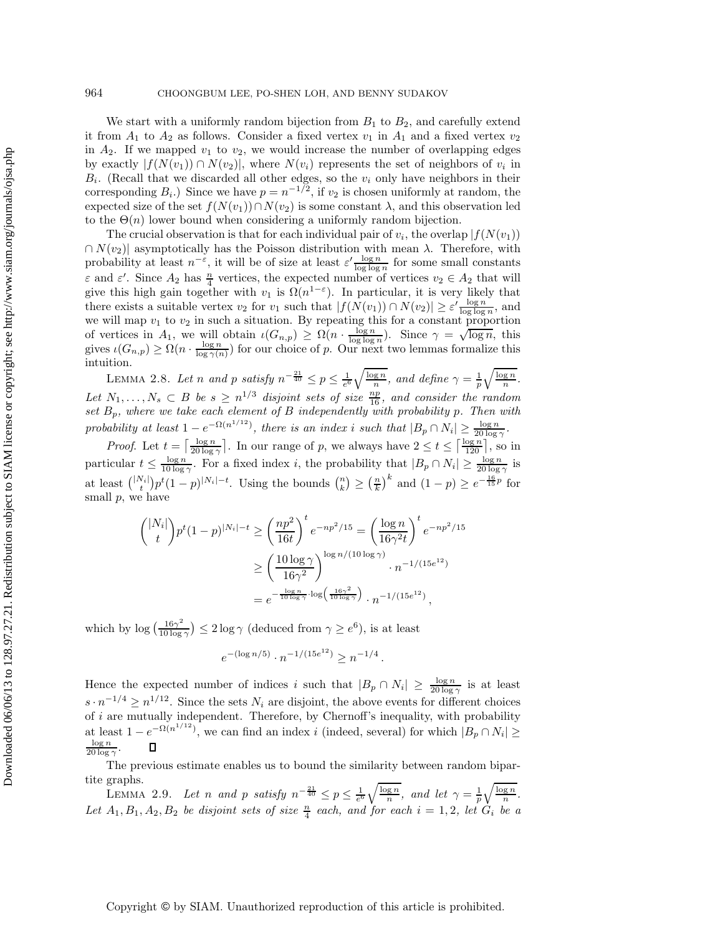We start with a uniformly random bijection from  $B_1$  to  $B_2$ , and carefully extend it from  $A_1$  to  $A_2$  as follows. Consider a fixed vertex  $v_1$  in  $A_1$  and a fixed vertex  $v_2$ in  $A_2$ . If we mapped  $v_1$  to  $v_2$ , we would increase the number of overlapping edges by exactly  $|f(N(v_1)) \cap N(v_2)|$ , where  $N(v_i)$  represents the set of neighbors of  $v_i$  in  $B_i$ . (Recall that we discarded all other edges, so the  $v_i$  only have neighbors in their corresponding  $B_i$ .) Since we have  $p = n^{-1/2}$ , if  $v_2$  is chosen uniformly at random, the expected size of the set  $f(N(v_1)) \cap N(v_2)$  is some constant  $\lambda$ , and this observation led to the  $\Theta(n)$  lower bound when considering a uniformly random bijection.

The crucial observation is that for each individual pair of  $v_i$ , the overlap  $|f(N(v_1))|$  $\cap N(v_2)$  asymptotically has the Poisson distribution with mean  $\lambda$ . Therefore, with probability at least  $n^{-\varepsilon}$ , it will be of size at least  $\varepsilon' \frac{\log n}{\log \log n}$  for some small constants  $\varepsilon$  and  $\varepsilon'$ . Since  $A_2$  has  $\frac{n}{4}$  $\frac{n}{4}$  vertices, the expected number of vertices  $v_2 \in A_2$  that will<br>then with  $v_1$  is  $O(n^{1-\epsilon})$ . In particular, it is very likely that give this high gain together with  $v_1$  is  $\Omega(n^{1-\varepsilon})$ . In particular, it is very likely that there exists a quitable vertex  $v_n$  for  $v_n$  queb that  $\{f(N(\alpha))\}\cap N(\alpha)$   $\geq \alpha'$   $\log n$  and there exists a suitable vertex  $v_2$  for  $v_1$  such that  $|f(N(v_1)) \cap N(v_2)| \geq \varepsilon' \frac{\log n}{\log \log n}$ , and we will map  $v_1$  to  $v_2$  in such a situation. By repeating this for a constant proportion we will map  $v_1$  to  $v_2$  in such a situation. By repeating this for a constant proportion we will map  $v_1$  to  $v_2$  in such a struation. By repeating this for a constant proportion<br>of vertices in  $A_1$ , we will obtain  $\iota(G_{n,p}) \ge \Omega(n \cdot \frac{\log n}{\log \log n})$ . Since  $\gamma = \sqrt{\log n}$ , this<br>gives  $\iota(G_{n,p}) \ge \Omega(n \cdot \frac{\log n}{\log \gamma(n)})$  f intuition.

LEMMA 2.8. Let *n* and *p* satisfy  $n^{-\frac{21}{40}} \leq p \leq \frac{1}{e^6} \sqrt{\frac{\log n}{n}}$ , and define  $\gamma = \frac{1}{p} \sqrt{\frac{\log n}{n}}$ . *Let*  $N_1, \ldots, N_s$  ⊂ B *be*  $s \geq n^{1/3}$  *disjoint sets of size*  $\frac{np}{16}$ *, and consider the random* set  $R$ , where we take each element of R independently with probability n. Then with *set* Bp*, where we take each element of* B *independently with probability* p*. Then with probability at least*  $1 - e^{-\Omega(n^{1/12})}$ *, there is an index i such that*  $|B_p \cap N_i| \ge \frac{\log n}{20 \log \gamma}$ *.* 

*Proof.* Let  $t = \left\lceil \frac{\log n}{20 \log \gamma} \right\rceil$ . In our range of p, we always have  $2 \le t \le \left\lceil \frac{\log n}{120} \right\rceil$ , so in particular  $t \le \frac{\log n}{10 \log \gamma}$ . For a fixed index *i*, the probability that  $|B_p \cap N_i| \ge \frac{\log n}{20 \log \gamma}$  is at least  $\binom{|N_i|}{t} p^t (1-p)^{|N_i|-t}$ . Using the bounds  $\binom{n}{k} \geq \left(\frac{n}{k}\right)^k$  and  $(1-p) \geq e^{-\frac{16}{15}p}$  for small  $p$ , we have

$$
\binom{|N_i|}{t} p^t (1-p)^{|N_i|-t} \ge \left(\frac{np^2}{16t}\right)^t e^{-np^2/15} = \left(\frac{\log n}{16\gamma^2 t}\right)^t e^{-np^2/15}
$$

$$
\ge \left(\frac{10\log\gamma}{16\gamma^2}\right)^{\log n/(10\log\gamma)} \cdot n^{-1/(15e^{12})}
$$

$$
= e^{-\frac{\log n}{10\log\gamma} \cdot \log\left(\frac{16\gamma^2}{10\log\gamma}\right)} \cdot n^{-1/(15e^{12})},
$$

which by  $\log\left(\frac{16\gamma^2}{10\log\gamma}\right) \leq 2\log\gamma$  (deduced from  $\gamma \geq e^6$ ), is at least

$$
e^{-(\log n/5)} \cdot n^{-1/(15e^{12})} \ge n^{-1/4}
$$
.

Hence the expected number of indices i such that  $|B_p \cap N_i| \ge \frac{\log n}{20 \log \gamma}$  is at least  $-1/4 > 1/12$  or the definition of  $\lim_{n \to \infty}$  if  $\frac{1}{n}$  $s \cdot n^{-1/4} \geq n^{1/12}$ . Since the sets  $N_i$  are disjoint, the above events for different choices of  $i$  are mutually independent. Therefore, by Chernoff's inequality, with probability at least  $1 - e^{-\Omega(n^{1/12})}$ , we can find an index i (indeed, several) for which  $|B_p \cap N_i|$ log <sup>n</sup> О  $20 \log \gamma$ 

The previous estimate enables us to bound the similarity between random bipartite graphs.

LEMMA 2.9. Let *n* and *p* satisfy  $n^{-\frac{21}{40}} \leq p \leq \frac{1}{e^6} \sqrt{\frac{\log n}{n}}$ , and let  $\gamma = \frac{1}{p} \sqrt{\frac{\log n}{n}}$ . Let  $A_1, B_1, A_2, B_2$  *be disjoint sets of size*  $\frac{n}{4}$  *each, and for each*  $i = 1, 2$ *, let*  $G_i$  *be a*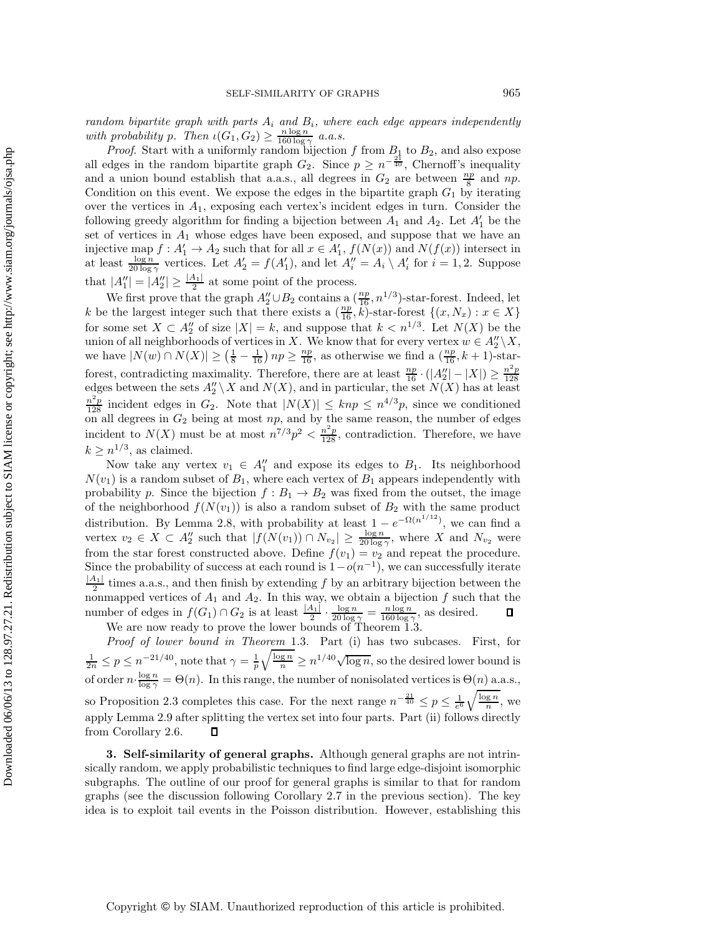*random bipartite graph with parts* A<sup>i</sup> *and* Bi*, where each edge appears independently* with probability p. Then  $\iota(G_1, G_2) \geq \frac{n \log n}{160 \log \gamma}$  *a.a.s.*<br>Proof. Start with a uniformly random bijection

*Proof.* Start with a uniformly random bijection f from  $B_1$  to  $B_2$ , and also expose all edges in the random bipartite graph  $G_2$ . Since  $p \geq n^{-\frac{21}{40}}$ , Chernoff's inequality and a union bound establish that a.a.s., all degrees in  $G_2$  are between  $\frac{np}{8}$  and  $np$ .<br>Condition on this event. We expose the edges in the bipartite graph  $G_1$  by iterating Condition on this event. We expose the edges in the bipartite graph  $G_1$  by iterating over the vertices in  $A_1$ , exposing each vertex's incident edges in turn. Consider the following greedy algorithm for finding a bijection between  $A_1$  and  $A_2$ . Let  $A'_1$  be the set of vertices in  $A_1$  whose odges have been exposed, and suppose that we have an set of vertices in  $A_1$  whose edges have been exposed, and suppose that we have an injective map  $f : A'_1 \to A_2$  such that for all  $x \in A'_1$ ,  $f(N(x))$  and  $N(f(x))$  intersect in at least  $\frac{\log n}{20 \log n}$  vertices. Let  $A'_2 = f(A'_1)$ , and let  $A''_i = A_i \setminus A'_i$  for  $i = 1, 2$ . Suppose that  $|A_1''| = |A_2''| \ge \frac{|A_1|}{2}$  at some point of the process.<br>We first prove that the graph  $A_1'' \cup B_2$  contains a (

We first prove that the graph  $A_2'' \cup B_2$  contains a  $(\frac{np}{16}, n^{1/3})$ -star-forest. Indeed, let k be the largest integer such that there exists a  $(\frac{np}{16}, k)$ -star-forest  $\{(x, N_x) : x \in X\}$ <br>for some set  $X \subset A''$  of size  $|Y| = k$ , and suppose that  $k \le n^{1/3}$ . Let  $N(Y)$  be the for some set  $X \subset A''_2$  of size  $|X| = k$ , and suppose that  $k < n^{1/3}$ . Let  $N(X)$  be the union of all neighborhoods of vertices in  $X$ . We know that for every vertex  $w \in A'' \setminus X$ union of all neighborhoods of vertices in X. We know that for every vertex  $w \in A_2^{\prime\prime} \backslash X$ ,<br>we have  $|N(w)| \geq (1-1)$  and  $\geq \frac{np}{2}$  as otherwise we find a  $(\frac{np}{2} - k + 1)$  star. we have  $|N(w) \cap N(X)| \ge \left(\frac{1}{8} - \frac{1}{16}\right) np \ge \frac{np}{16}$ , as otherwise we find a  $\left(\frac{np}{16}, k+1\right)$ -starforest, contradicting maximality. Therefore, there are at least  $\frac{np}{16} \cdot (|A_2''| - |X|) \ge \frac{n^2p}{128}$ <br>edges between the sets  $A''_2 \setminus X$  and  $N(X)$  and in particular, the set  $N(X)$  has at least edges between the sets  $A_2'' \setminus X$  and  $N(X)$ , and in particular, the set  $N(X)$  has at least  $\frac{n^2p}{\lambda}$  incident edges in  $C_2$ . Note that  $|N(X)| \leq kn \leq n^{4/3}n$ , since we conditioned  $\frac{n^2p}{128}$  incident edges in  $G_2$ . Note that  $|N(X)| \leq knp \leq n^{4/3}p$ , since we conditioned on all degrees in  $G_2$  being at most  $np$ , and by the same reason, the number of edges incident to  $N(X)$  must be at most  $n^{7/3}p^2 < \frac{n^2p}{128}$ , contradiction. Therefore, we have  $k \geq n^{1/3}$ , as claimed.

Now take any vertex  $v_1 \in A_1''$  and expose its edges to  $B_1$ . Its neighborhood  $N(v_1)$  is a random subset of  $B_1$ , where each vertex of  $B_1$  appears independently with probability p. Since the bijection  $f : B_1 \to B_2$  was fixed from the outset, the image of the neighborhood  $f(N(v_1))$  is also a random subset of  $B_2$  with the same product distribution. By Lemma 2.8, with probability at least  $1 - e^{-\Omega(n^{1/12})}$ , we can find a vertex  $v_2 \in X \subset A_2''$  such that  $|f(N(v_1)) \cap N_{v_2}| \ge \frac{\log n}{20 \log \gamma}$ , where X and  $N_{v_2}$  were from the star forest constructed above. Define  $f(v_1) = v_2$  and repeat the procedure. Since the probability of success at each round is  $1-o(n^{-1})$ , we can successfully iterate  $\frac{|A_1|}{2}$  times a.a.s., and then finish by extending f by an arbitrary bijection between the nonmanned vertices of  $A_2$  and  $A_2$ . In this way, we obtain a bijection f such that the nonmapped vertices of  $A_1$  and  $A_2$ . In this way, we obtain a bijection f such that the number of edges in  $f(G_1) \cap G_2$  is at least  $\frac{|A_1|}{\log n} \cdot \frac{\log n}{\log n} = \frac{n \log n}{n \log n}$ , as desired. number of edges in  $f(G_1) \cap G_2$  is at least  $\frac{|A_1|}{2} \cdot \frac{\log n}{20 \log \gamma} = \frac{n \log n}{160 \log \gamma}$ , as desired.<br>We are now ready to prove the lower bounds of Theorem 1.3.

*Proof of lower bound in Theorem* 1.3. Part (i) has two subcases. First, for  $\frac{1}{2n} \leq p \leq n^{-21/40}$ , note that  $\gamma = \frac{1}{p} \sqrt{\frac{\log n}{n}} \geq n^{1/40} \sqrt{\log n}$ , so the desired lower bound is of order  $n \cdot \frac{\log n}{\log \gamma} = \Theta(n)$ . In this range, the number of nonisolated vertices is  $\Theta(n)$  a.a.s., so Proposition 2.3 completes this case. For the next range  $n^{-\frac{21}{40}} \leq p \leq \frac{1}{e^6} \sqrt{\frac{\log n}{n}}$ , we apply Lemma 2.9 after splitting the vertex set into four parts. Part (ii) follows directly from Corollary 2.6.  $\Box$ 

**3. Self-similarity of general graphs.** Although general graphs are not intrinsically random, we apply probabilistic techniques to find large edge-disjoint isomorphic subgraphs. The outline of our proof for general graphs is similar to that for random graphs (see the discussion following Corollary 2.7 in the previous section). The key idea is to exploit tail events in the Poisson distribution. However, establishing this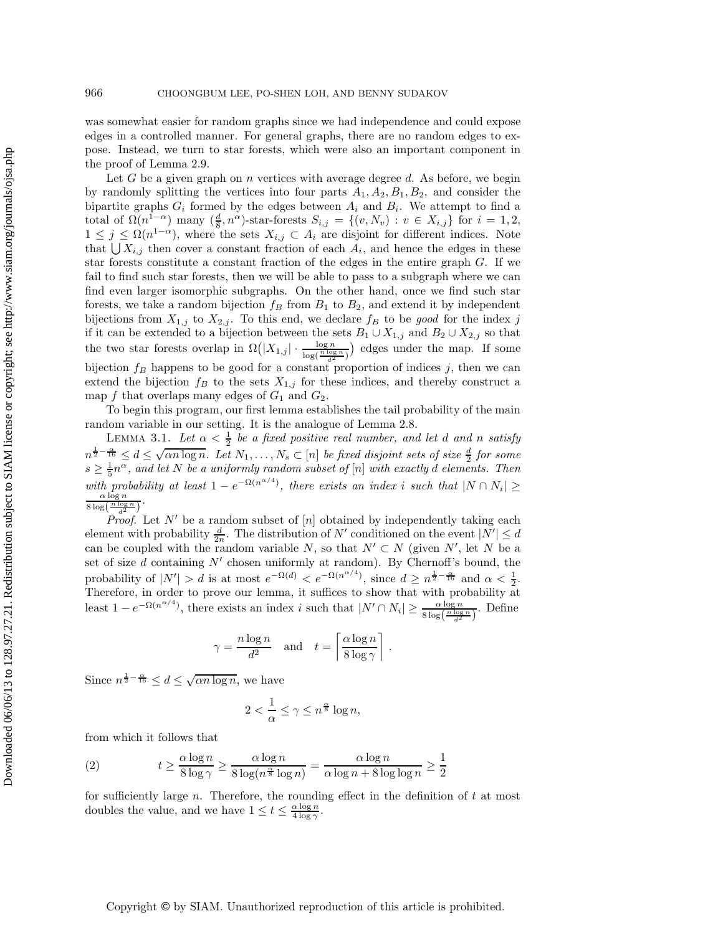was somewhat easier for random graphs since we had independence and could expose edges in a controlled manner. For general graphs, there are no random edges to expose. Instead, we turn to star forests, which were also an important component in the proof of Lemma 2.9.

Let  $G$  be a given graph on  $n$  vertices with average degree  $d$ . As before, we begin by randomly splitting the vertices into four parts  $A_1, A_2, B_1, B_2$ , and consider the bipartite graphs  $G_i$  formed by the edges between  $A_i$  and  $B_i$ . We attempt to find a total of  $\Omega(n^{1-\alpha})$  many  $(\frac{d}{8}, n^{\alpha})$ -star-forests  $S_{i,j} = \{(v, N_v) : v \in X_{i,j}\}$  for  $i = 1, 2,$ <br> $1 \le i \le \Omega(n^{1-\alpha})$  where the sets  $X_{i,j} \subset A_i$  are disjoint for different indices. Note  $1 \leq j \leq \Omega(n^{1-\alpha})$ , where the sets  $X_{i,j} \subset A_i$  are disjoint for different indices. Note that  $\bigcup X_{i,j}$  then cover a constant fraction of each  $A_i$ , and hence the edges in these star forests constitute a constant fraction of the edges in the entire graph  $G$ . If we fail to find such star forests, then we will be able to pass to a subgraph where we can find even larger isomorphic subgraphs. On the other hand, once we find such star forests, we take a random bijection  $f_B$  from  $B_1$  to  $B_2$ , and extend it by independent bijections from  $X_{1,j}$  to  $X_{2,j}$ . To this end, we declare  $f_B$  to be good for the index j if it can be extended to a bijection between the sets  $B_1 \cup X_{1,j}$  and  $B_2 \cup X_{2,j}$  so that the two star forests overlap in  $\Omega(|X_{1,j}| \cdot \frac{\log n}{\log(\frac{n \log n}{d^2})})$  edges under the map. If some edges under the map. If some bijection  $f_B$  happens to be good for a constant proportion of indices j, then we can extend the bijection  $f_B$  to the sets  $X_{1,j}$  for these indices, and thereby construct a map f that overlaps many edges of  $G_1$  and  $G_2$ .

To begin this program, our first lemma establishes the tail probability of the main random variable in our setting. It is the analogue of Lemma 2.8.

LEMMA 3.1. Let  $\alpha < \frac{1}{2}$  be a fixed positive real number, and let d and n satisfy  $n^{\frac{1}{2}-\frac{\alpha}{16}} \leq d \leq \sqrt{\alpha n \log n}$ . Let  $N_1, \ldots, N_s \subset [n]$  be fixed disjoint sets of size  $\frac{d}{2}$  for some<br> $s > \frac{1}{2}n^{\alpha}$  and let N be a uniformly random sybset of  $[n]$  with exactly d elements. Then  $s \geq \frac{1}{5}n^{\alpha}$ , and let N be a uniformly random subset of [n] with exactly d elements. Then *with probability at least*  $1 - e^{-\Omega(n^{\alpha/4})}$ *, there exists an index i such that*  $|N \cap N_i| \ge \frac{\alpha \log n}{\alpha \log(n) \log n}$ *.*  $\frac{8 \log \left(\frac{n \log n}{d^2}\right)}{D}$ *.*

*Proof.* Let  $N'$  be a random subset of  $[n]$  obtained by independently taking each element with probability  $\frac{d}{2n}$ . The distribution of N' conditioned on the event  $|N'| \leq d$ <br>can be coupled with the random variable N so that  $N' \subset N$  (given  $N'$  let N be a can be coupled with the random variable N, so that  $N' \subset N$  (given N', let N be a set of size  $d$  containing  $N'$  chosen uniformly at random). By Chernoff's bound, the probability of  $|N'| > d$  is at most  $e^{-\Omega(d)} < e^{-\Omega(n^{\alpha/4})}$ , since  $d \geq n^{\frac{1}{2} - \frac{\alpha}{16}}$  and  $\alpha < \frac{1}{2}$ .<br>Therefore in order to prove our lemma, it suffices to show that with probability at Therefore, in order to prove our lemma, it suffices to show that with probability at least  $1 - e^{-\Omega(n^{\alpha/4})}$ , there exists an index i such that  $|N' \cap N_i| \geq \frac{\alpha \log n}{8 \log(n) \log n}$  $\frac{\alpha \log n}{8 \log \left(\frac{n \log n}{d^2}\right)}$ . Define

$$
\gamma = \frac{n \log n}{d^2}
$$
 and  $t = \left[ \frac{\alpha \log n}{8 \log \gamma} \right]$ .

Since  $n^{\frac{1}{2}-\frac{\alpha}{16}} \leq d \leq \sqrt{\alpha n \log n}$ , we have

$$
2 < \frac{1}{\alpha} \le \gamma \le n^{\frac{\alpha}{8}} \log n,
$$

from which it follows that

(2) 
$$
t \ge \frac{\alpha \log n}{8 \log \gamma} \ge \frac{\alpha \log n}{8 \log(n^{\frac{\alpha}{8}} \log n)} = \frac{\alpha \log n}{\alpha \log n + 8 \log \log n} \ge \frac{1}{2}
$$

for sufficiently large  $n$ . Therefore, the rounding effect in the definition of  $t$  at most doubles the value, and we have  $1 \le t \le \frac{\alpha \log n}{4 \log \gamma}$ .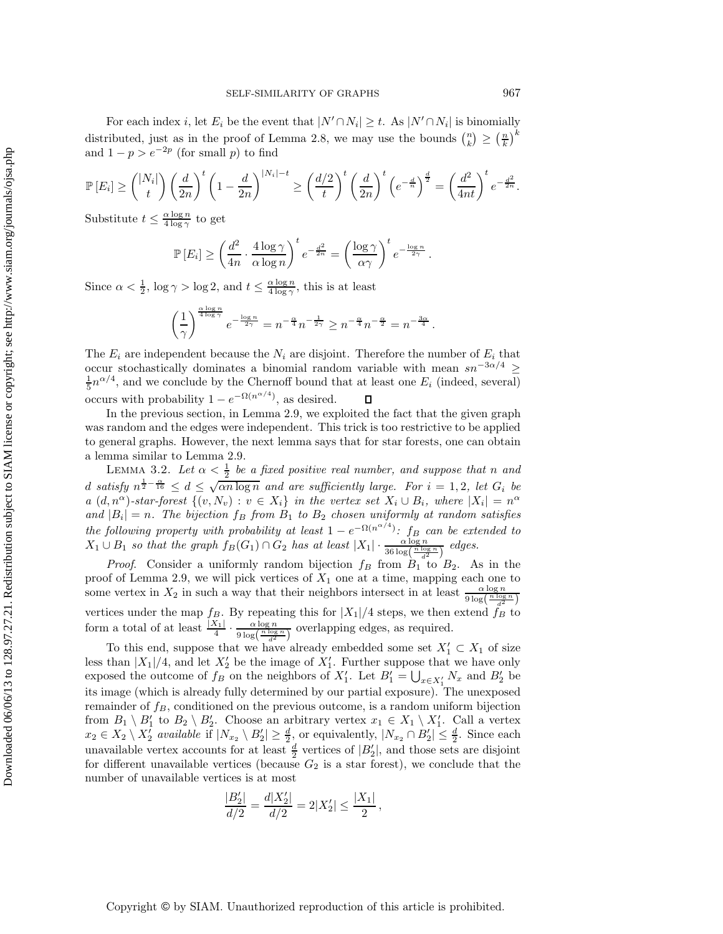For each index i, let  $E_i$  be the event that  $|N' \cap N_i| \geq t$ . As  $|N' \cap N_i|$  is binomially distributed, just as in the proof of Lemma 2.8, we may use the bounds  $\binom{n}{k} \geq \left(\frac{n}{k}\right)^k$ and  $1 - p > e^{-2p}$  (for small p) to find

$$
\mathbb{P}\left[E_i\right] \geq {\binom{|N_i|}{t}} \left(\frac{d}{2n}\right)^t \left(1-\frac{d}{2n}\right)^{|N_i|-t} \geq \left(\frac{d/2}{t}\right)^t \left(\frac{d}{2n}\right)^t \left(e^{-\frac{d}{n}}\right)^{\frac{d}{2}} = \left(\frac{d^2}{4nt}\right)^t e^{-\frac{d^2}{2n}}.
$$

Substitute  $t \leq \frac{\alpha \log n}{4 \log \gamma}$  to get

$$
\mathbb{P}[E_i] \ge \left(\frac{d^2}{4n} \cdot \frac{4\log\gamma}{\alpha\log n}\right)^t e^{-\frac{d^2}{2n}} = \left(\frac{\log\gamma}{\alpha\gamma}\right)^t e^{-\frac{\log n}{2\gamma}}.
$$

Since  $\alpha < \frac{1}{2}$ ,  $\log \gamma > \log 2$ , and  $t \leq \frac{\alpha \log n}{4 \log \gamma}$ , this is at least

$$
\left(\frac{1}{\gamma}\right)^{\frac{\alpha\log n}{4\log \gamma}}e^{-\frac{\log n}{2\gamma}}=n^{-\frac{\alpha}{4}}n^{-\frac{1}{2\gamma}}\geq n^{-\frac{\alpha}{4}}n^{-\frac{\alpha}{2}}=n^{-\frac{3\alpha}{4}}.
$$

The  $E_i$  are independent because the  $N_i$  are disjoint. Therefore the number of  $E_i$  that occur stochastically dominates a binomial random variable with mean  $sn^{-3\alpha/4} \ge$  $\frac{1}{5}n^{\alpha/4}$ , and we conclude by the Chernoff bound that at least one  $E_i$  (indeed, several) occurs with probability  $1 - e^{-\Omega(n^{\alpha/4})}$ , as desired.

In the previous section, in Lemma 2.9, we exploited the fact that the given graph was random and the edges were independent. This trick is too restrictive to be applied to general graphs. However, the next lemma says that for star forests, one can obtain a lemma similar to Lemma 2.9.

LEMMA 3.2. Let  $\alpha < \frac{1}{2}$  be a fixed positive real number, and suppose that n and d satisfy  $n^{\frac{1}{2}-\frac{\alpha}{16}} \leq d \leq \sqrt{\alpha n \log n}$  and are sufficiently large. For  $i = 1, 2$ , let  $G_i$  be *a*  $(d, n^{\alpha})$ -star-forest  $\{(v, N_v) : v \in X_i\}$  *in the vertex set*  $X_i \cup B_i$ *, where*  $|X_i| = n^{\alpha}$ *and*  $|B_i| = n$ . The bijection  $f_B$  *from*  $B_1$  *to*  $B_2$  *chosen uniformly at random satisfies the following property with probability at least*  $1 - e^{-\Omega(n^{\alpha/4})}$ *: f<sub>B</sub> can be extended to*  $X_1 \cup B_1$  *so that the graph*  $f_B(G_1) \cap G_2$  *has at least*  $|X_1| \cdot \frac{\alpha \log n}{36 \log(\frac{n \log n}{d^2})}$  edges.

*Proof.* Consider a uniformly random bijection  $f_B$  from  $B_1$  to  $B_2$ . As in the proof of Lemma 2.9, we will pick vertices of  $X_1$  one at a time, mapping each one to proof of Lemma 2.9, we will pick vertices of  $X_1$  one at a time, mapping each one to<br>game vertex in  $Y$ , in quality and that their point has interest in at least.  $\alpha \log n$ some vertex in  $X_2$  in such a way that their neighbors intersect in at least  $\frac{\alpha \log n}{9 \log(\frac{n \log n}{d^2})}$ vertices under the map  $f_B$ . By repeating this for  $|X_1|/4$  steps, we then extend  $f_B$  to form a total of at least  $\frac{|X_1|}{4} \cdot \frac{\alpha \log n}{9 \log(\frac{n \log n}{d^2})}$  overlapping edges, as required.

To this end, suppose that we have already embedded some set  $X'_1 \subset X_1$  of size<br>than  $|Y_1|/4$  and let  $Y'$  be the image of  $Y'$ . Eurther suppose that we have only less than  $|X_1|/4$ , and let  $X_2'$  be the image of  $X_1'$ . Further suppose that we have only or proposed the outcome of  $f_{\rm p}$  on the poighbors of  $X'$ . Let  $R' = 11$  and  $R'$  have exposed the outcome of  $f_B$  on the neighbors of  $X'_1$ . Let  $B'_1 = \bigcup_{x \in X'_1} N_x$  and  $B'_2$  be 1 its image (which is already fully determined by our partial exposure). The unexposed remainder of  $f_B$ , conditioned on the previous outcome, is a random uniform bijection from  $B_1 \setminus B'_1$  to  $B_2 \setminus B'_2$ . Choose an arbitrary vertex  $x_1 \in X_1 \setminus X'_1$ . Call a vertex  $x_2 \in X_2 \setminus Y'_1$  evailable if  $|N| \setminus B'| \geq d$  or equivalently  $|N| \cap B'| \leq d$  Since each  $x_2 \in X_2 \setminus X_2'$  *available* if  $|N_{x_2} \setminus B_2'| \geq \frac{d}{2}$ , or equivalently,  $|N_{x_2} \cap B_2'| \leq \frac{d}{2}$ . Since each upprovide the vertex assessment for at least determined of  $|B'|$ , and these sets are disjoint. unavailable vertex accounts for at least  $\frac{d}{2}$  vertices of  $|B'_2|$ , and those sets are disjoint<br>for different unavailable vertices (because  $G_2$  is a star forest), we conclude that the for different unavailable vertices (because  $G_2$  is a star forest), we conclude that the number of unavailable vertices is at most

$$
\frac{|B_2'|}{d/2} = \frac{d|X_2'|}{d/2} = 2|X_2'| \le \frac{|X_1|}{2},
$$

Copyright © by SIAM. Unauthorized reproduction of this article is prohibited.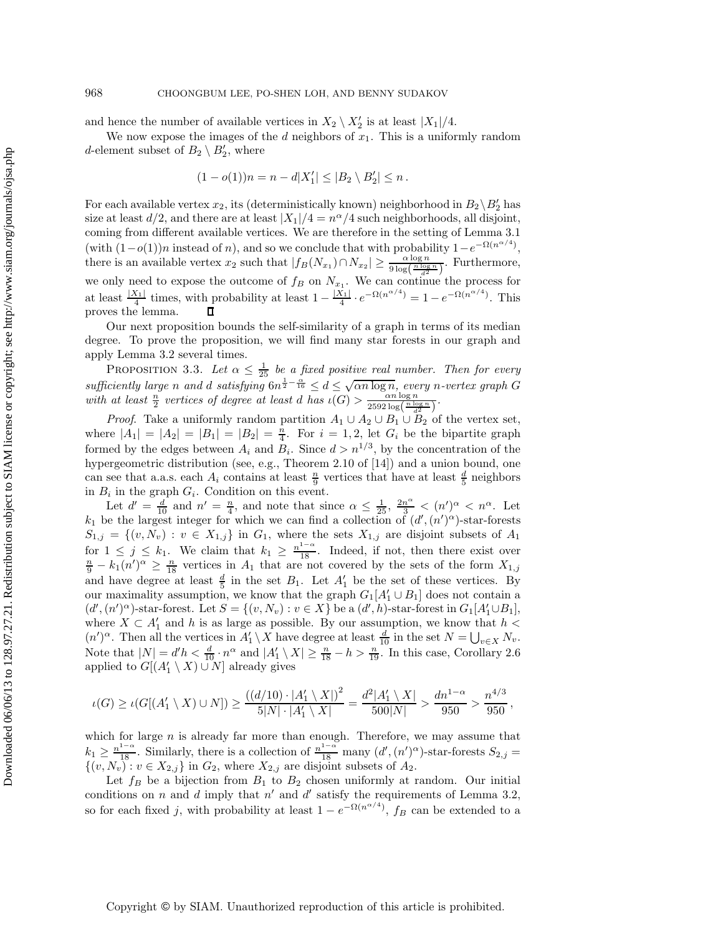and hence the number of available vertices in  $X_2 \setminus X_2'$  is at least  $|X_1|/4$ .

We now expose the images of the  $d$  neighbors of  $x_1$ . This is a uniformly random d-element subset of  $B_2 \setminus B'_2$ , where

$$
(1 - o(1))n = n - d|X'_1| \le |B_2 \setminus B'_2| \le n.
$$

For each available vertex  $x_2$ , its (deterministically known) neighborhood in  $B_2 \backslash B_2'$  has size at least  $d/2$ , and there are at least  $|X_1|/4 = n^{\alpha}/4$  such neighborhoods, all disjoint, coming from different available vertices. We are therefore in the setting of Lemma 3.1 (with  $(1-o(1))n$  instead of n), and so we conclude that with probability  $1-e^{-\Omega(n^{\alpha/4})}$ , there is an available vertex  $x_2$  such that  $|f_B(N_{x_1}) \cap N_{x_2}| \geq \frac{\alpha \log n}{9 \log(\frac{n \log n}{\epsilon^2})}$ . Furthermore, we only need to expose the outcome of  $f_B$  on  $N_{x_1}$ . We can continue the process for at least  $\frac{|X_1|}{4}$  times, with probability at least  $1 - \frac{|X_1|}{4} \cdot e^{-\Omega(n^{\alpha/4})} = 1 - e^{-\Omega(n^{\alpha/4})}$ . This proves the lemma.

Our next proposition bounds the self-similarity of a graph in terms of its median degree. To prove the proposition, we will find many star forests in our graph and apply Lemma 3.2 several times.

PROPOSITION 3.3. Let  $\alpha \leq \frac{1}{25}$  be a fixed positive real number. Then for every PROPOSITION 3.3. Let  $\alpha \leq \frac{1}{25}$  be a fixed positive real number. Then for every sufficiently large n and d satisfying  $6n^{\frac{1}{2}-\frac{\alpha}{16}} \leq d \leq \sqrt{\alpha n \log n}$ , every n-vertex graph G with at least  $\frac{n}{2}$  vertices of degree at least d has  $\iota(\overrightarrow{G}) > \frac{\alpha n \log n}{2592 \log(\frac{n \log n}{d^2})}$ .

*Proof.* Take a uniformly random partition  $A_1 \cup A_2 \cup B_1 \cup B_2$  of the vertex set, where  $|A_1| = |A_2| = |B_1| = |B_2| = \frac{n}{4}$ . For  $i = 1, 2$ , let  $G_i$  be the bipartite graph formed by the edges between  $A_i$  and  $B_i$ . Since  $d > n^{1/3}$ , by the concentration of the hypergeometric distribution (see, e.g., Theorem 2.10 of [14]) and a union bound, one can see that a.a.s. each  $A_i$  contains at least  $\frac{n}{9}$  vertices that have at least  $\frac{d}{5}$  neighbors in  $B_i$  in the graph  $G_i$ . Condition on this event in  $B_i$  in the graph  $G_i$ . Condition on this event.

Let  $d' = \frac{d}{10}$  and  $n' = \frac{n}{4}$ , and note that since  $\alpha \leq \frac{1}{25}$ ,  $\frac{2n^{\alpha}}{3} < (n')^{\alpha} < n^{\alpha}$ . Let  $k_1$  be the largest integer for which we can find a collection of  $(d', (n')^{\alpha})$ -star-forests  $S_{1,j} = \{(v, N_v) : v \in X_{1,j}\}$  in  $G_1$ , where the sets  $X_{1,j}$  are disjoint subsets of  $A_1$ for  $1 \leq j \leq k_1$ . We claim that  $k_1 \geq \frac{n^{1-\alpha}}{18}$ . Indeed, if not, then there exist over  $\frac{n}{2} - k_1(n')^{\alpha} > \frac{n}{2}$  vertices in A<sub>1</sub> that are not covered by the sets of the form  $X_1$ .  $\frac{n}{9} - k_1(n')^{\alpha} \ge \frac{n}{18}$  vertices in  $A_1$  that are not covered by the sets of the form  $X_{1,j}$ and have degree at least  $\frac{d}{5}$  in the set  $B_1$ . Let  $A'_1$  be the set of these vertices. By<br>our maximality assumption, we know that the graph  $G_1[A'] \cup B_1$  does not contain a our maximality assumption, we know that the graph  $G_1[A'_1 \cup B_1]$  does not contain a<br> $(d'_1 \cdot (p')^{\alpha})$  star forest Let  $S = f(a, N) \cdot p \in X$  has  $(d'_1, b)$  star forest in  $G_1[A'_1 \cup B_1]$  $(d', (n')^{\alpha})$ -star-forest. Let  $S = \{(v, N_v) : v \in X\}$  be a  $(d', h)$ -star-forest in  $G_1[A'_1 \cup B_1]$ ,<br>where  $X \subseteq A'$  and h is as large as possible. By our assumption, we know that  $h \leq$ where  $X \subset A'_1$  and h is as large as possible. By our assumption, we know that  $h < (n')^{\alpha}$ . Then all the vertices in  $A' \setminus X$  have degree at least  $\frac{d}{dx}$  in the set  $N = 11$ .  $(n')^{\alpha}$ . Then all the vertices in  $A'_1 \setminus X$  have degree at least  $\frac{d}{10}$  in the set  $N = \bigcup_{v \in X} N_v$ .<br>Note that  $|N| = d'h < \frac{d}{v}$  and  $|A' \setminus Y| > \frac{n}{v}$ . In this case, Garallary 2.6 Note that  $|N| = d'h < \frac{d}{10} \cdot n^{\alpha}$  and  $|A'_1 \setminus X| \ge \frac{n}{18} - h > \frac{n}{19}$ . In this case, Corollary 2.6 applied to  $G[(A'_1 \setminus X) \cup N]$  already gives

$$
\iota(G) \geq \iota(G[(A'_1 \setminus X) \cup N]) \geq \frac{((d/10) \cdot |A'_1 \setminus X|)^2}{5|N| \cdot |A'_1 \setminus X|} = \frac{d^2|A'_1 \setminus X|}{500|N|} > \frac{dn^{1-\alpha}}{950} > \frac{n^{4/3}}{950},
$$

which for large  $n$  is already far more than enough. Therefore, we may assume that  $k_1 \geq \frac{n^{1-\alpha}}{18}$ . Similarly, there is a collection of  $\frac{n^{1-\alpha}}{18}$  many  $(d', (n')^{\alpha})$ -star-forests  $S_{2,j} =$ <br> $\{(n, N_{-}) : n \in X_{\alpha} \}$  in  $G_{\alpha}$  where  $X_{\alpha}$  are disjoint subsets of  $A_{\alpha}$  $\{(v, N_v) : v \in X_{2,j}\}$  in  $G_2$ , where  $X_{2,j}$  are disjoint subsets of  $A_2$ .

Let  $f_B$  be a bijection from  $B_1$  to  $B_2$  chosen uniformly at random. Our initial conditions on n and d imply that  $n'$  and d' satisfy the requirements of Lemma 3.2, so for each fixed j, with probability at least  $1 - e^{-\Omega(n^{\alpha/4})}$ ,  $f_B$  can be extended to a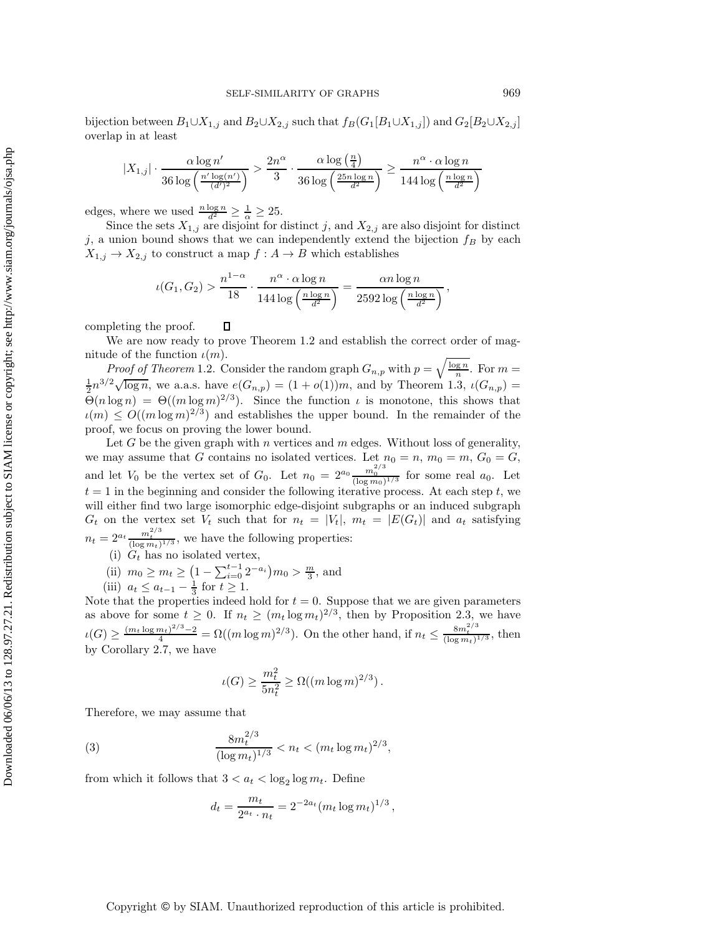bijection between  $B_1 \cup X_{1,j}$  and  $B_2 \cup X_{2,j}$  such that  $f_B(G_1[B_1 \cup X_{1,j}])$  and  $G_2[B_2 \cup X_{2,j}]$ overlap in at least

$$
|X_{1,j}| \cdot \frac{\alpha \log n'}{36 \log\left(\frac{n' \log(n')}{(d')^2}\right)} > \frac{2n^{\alpha}}{3} \cdot \frac{\alpha \log\left(\frac{n}{4}\right)}{36 \log\left(\frac{25n \log n}{d^2}\right)} \ge \frac{n^{\alpha} \cdot \alpha \log n}{144 \log\left(\frac{n \log n}{d^2}\right)}
$$

edges, where we used  $\frac{n \log n}{d^2} \geq \frac{1}{\alpha} \geq 25$ .

Since the sets  $X_{1,j}$  are disjoint for distinct j, and  $X_{2,j}$  are also disjoint for distinct<br>union bound above that we can independently extend the bijection f by each j, a union bound shows that we can independently extend the bijection  $f_B$  by each  $X_{1,j} \to X_{2,j}$  to construct a map  $f : A \to B$  which establishes

$$
\iota(G_1, G_2) > \frac{n^{1-\alpha}}{18} \cdot \frac{n^{\alpha} \cdot \alpha \log n}{144 \log \left(\frac{n \log n}{d^2}\right)} = \frac{\alpha n \log n}{2592 \log \left(\frac{n \log n}{d^2}\right)},
$$

completing the proof.  $\Box$ 

We are now ready to prove Theorem 1.2 and establish the correct order of magnitude of the function  $\iota(m)$ .

*Proof of Theorem* 1.2. Consider the random graph  $G_{n,p}$  with  $p = \sqrt{\frac{\log n}{n}}$ . For  $m =$  $\frac{1}{2}n^{3/2}\sqrt{\log n}$ , we a.a.s. have  $e(G_{n,p}) = (1+o(1))m$ , and by Theorem 1.3,  $\iota(G_{n,p}) =$ <br> $\Theta(n \log n) = \Theta((m \log m)^{2/3})$ . Since the function  $\iota$  is monotone, this shows that  $\Theta(n \log n) = \Theta((m \log m)^{2/3})$ . Since the function  $\iota$  is monotone, this shows that  $u(m) \leq O((m \log m)^{2/3})$  and establishes the upper bound. In the remainder of the proof, we focus on proving the lower bound.

Let G be the given graph with n vertices and  $m$  edges. Without loss of generality, we may assume that G contains no isolated vertices. Let  $n_0 = n$ ,  $m_0 = m$ ,  $G_0 = G$ , and let  $V_0$  be the vertex set of  $G_0$ . Let  $n_0 = 2^{a_0} \frac{m_0^{2/3}}{(\log m_0)^{1/3}}$  for some real  $a_0$ . Let  $t = 1$  in the beginning and consider the following iterative process. At each step t we  $t = 1$  in the beginning and consider the following iterative process. At each step t, we will either find two large isomorphic edge-disjoint subgraphs or an induced subgraph  $G_t$  on the vertex set  $V_t$  such that for  $n_t = |V_t|$ ,  $m_t = |E(G_t)|$  and  $a_t$  satisfying  $n_t = 2^{a_t} \frac{m_t^{2/3}}{(\log m_t)^{1/3}}$ , we have the following properties:

- (i)  $G_t$  has no isolated vertex,
- (ii)  $m_0 \ge m_t \ge \left(1 \sum_{i=0}^{t-1} 2^{-a_i}\right) m_0 > \frac{m}{3}$ , and<br>(iii)  $a_i \le a_{i-1} \frac{1}{2}$  for  $t > 1$
- (iii)  $a_t \le a_{t-1} \frac{1}{3}$  for  $t \ge 1$ .<br>At the properties indeed

Note that the properties indeed hold for  $t = 0$ . Suppose that we are given parameters as above for some  $t \geq 0$ . If  $n_t \geq (m_t \log m_t)^{2/3}$ , then by Proposition 2.3, we have  $\mu(G) \geq \frac{(m_t \log m_t)^{2/3} - 2}{4} = \Omega((m \log m)^{2/3})$ . On the other hand, if  $n_t \leq \frac{8m_t^{2/3}}{(\log m_t)^{1/3}}$ , then by Corollary 2.7, we have

$$
\iota(G) \ge \frac{m_t^2}{5n_t^2} \ge \Omega((m \log m)^{2/3}).
$$

Therefore, we may assume that

(3) 
$$
\frac{8m_t^{2/3}}{(\log m_t)^{1/3}} < n_t < (m_t \log m_t)^{2/3},
$$

from which it follows that  $3 < a_t < \log_2 \log m_t$ . Define

$$
d_t = \frac{m_t}{2^{a_t} \cdot n_t} = 2^{-2a_t} (m_t \log m_t)^{1/3},
$$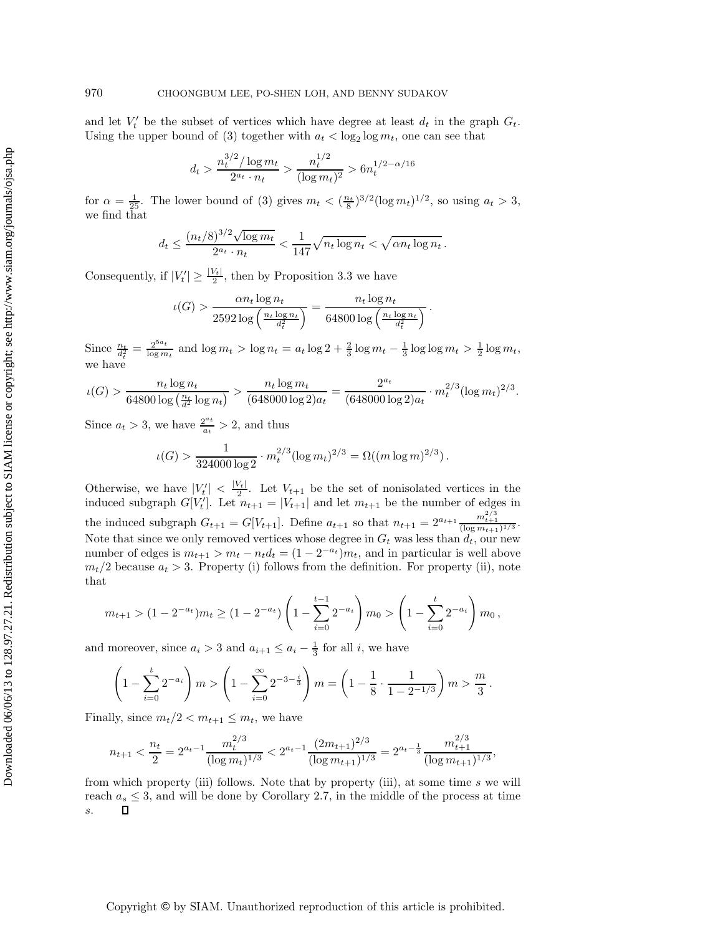and let  $V_t'$  be the subset of vertices which have degree at least  $d_t$  in the graph  $G_t$ . Using the upper bound of (3) together with  $a_t < \log_2 \log m_t$ , one can see that

$$
d_t > \frac{n_t^{3/2}/\log m_t}{2^{a_t} \cdot n_t} > \frac{n_t^{1/2}}{(\log m_t)^2} > 6n_t^{1/2 - \alpha/16}
$$

for  $\alpha = \frac{1}{25}$ . The lower bound of (3) gives  $m_t < (\frac{n_t}{8})^{3/2} (\log m_t)^{1/2}$ , so using  $a_t > 3$ , we find that

$$
d_t \le \frac{(n_t/8)^{3/2} \sqrt{\log m_t}}{2^{a_t} \cdot n_t} < \frac{1}{147} \sqrt{n_t \log n_t} < \sqrt{\alpha n_t \log n_t}.
$$

Consequently, if  $|V_t'| \ge \frac{|V_t|}{2}$ , then by Proposition 3.3 we have

$$
\iota(G) > \frac{\alpha n_t \log n_t}{2592 \log \left(\frac{n_t \log n_t}{d_t^2}\right)} = \frac{n_t \log n_t}{64800 \log \left(\frac{n_t \log n_t}{d_t^2}\right)}.
$$

Since  $\frac{n_t}{d_t^2} = \frac{2^{5a_t}}{\log m_t}$  and  $\log m_t > \log n_t = a_t \log 2 + \frac{2}{3} \log m_t - \frac{1}{3} \log \log m_t > \frac{1}{2} \log m_t$ , we have

$$
\iota(G) > \frac{n_t \log n_t}{64800 \log \left(\frac{n_t}{d^2} \log n_t\right)} > \frac{n_t \log m_t}{(648000 \log 2)a_t} = \frac{2^{a_t}}{(648000 \log 2)a_t} \cdot m_t^{2/3} (\log m_t)^{2/3}.
$$

Since  $a_t > 3$ , we have  $\frac{2^{a_t}}{a_t} > 2$ , and thus

$$
\iota(G) > \frac{1}{324000 \log 2} \cdot m_t^{2/3} (\log m_t)^{2/3} = \Omega((m \log m)^{2/3}).
$$

Otherwise, we have  $|V'_t| < \frac{|V_t|}{2}$ . Let  $V_{t+1}$  be the set of nonisolated vertices in the induced subgraph  $G[V'_t]$ . Let  $n_{t+1} = |V_{t+1}|$  and let  $m_{t+1}$  be the number of edges in the induced subgraph  $G_{t+1} = G[V_{t+1}]$ . Define  $a_{t+1}$  so that  $n_{t+1} = 2^{a_{t+1}} \frac{m_{t+1}^{2/3}}{(\log m_{t+1})^{1/3}}$ . Note that since we only removed vertices whose degree in  $G_t$  was less than  $d_t$ , our new number of edges is  $m_{t+1} > m_t - n_t d_t = (1 - 2^{-a_t})m_t$ , and in particular is well above  $m_t/2$  because  $a_t > 3$ . Property (i) follows from the definition. For property (ii), note that

$$
m_{t+1} > (1 - 2^{-a_t})m_t \ge (1 - 2^{-a_t}) \left(1 - \sum_{i=0}^{t-1} 2^{-a_i}\right) m_0 > \left(1 - \sum_{i=0}^{t} 2^{-a_i}\right) m_0,
$$

and moreover, since  $a_i > 3$  and  $a_{i+1} \le a_i - \frac{1}{3}$  for all i, we have

$$
\left(1 - \sum_{i=0}^{t} 2^{-a_i}\right) m > \left(1 - \sum_{i=0}^{\infty} 2^{-3 - \frac{i}{3}}\right) m = \left(1 - \frac{1}{8} \cdot \frac{1}{1 - 2^{-1/3}}\right) m > \frac{m}{3}.
$$

Finally, since  $m_t/2 < m_{t+1} \leq m_t$ , we have

$$
n_{t+1} < \frac{n_t}{2} = 2^{a_t - 1} \frac{m_t^{2/3}}{(\log m_t)^{1/3}} < 2^{a_t - 1} \frac{(2m_{t+1})^{2/3}}{(\log m_{t+1})^{1/3}} = 2^{a_t - \frac{1}{3}} \frac{m_{t+1}^{2/3}}{(\log m_{t+1})^{1/3}},
$$

from which property (iii) follows. Note that by property (iii), at some time  $s$  we will reach  $a_s \leq 3$ , and will be done by Corollary 2.7, in the middle of the process at time  $\Box$ s.

Copyright © by SIAM. Unauthorized reproduction of this article is prohibited.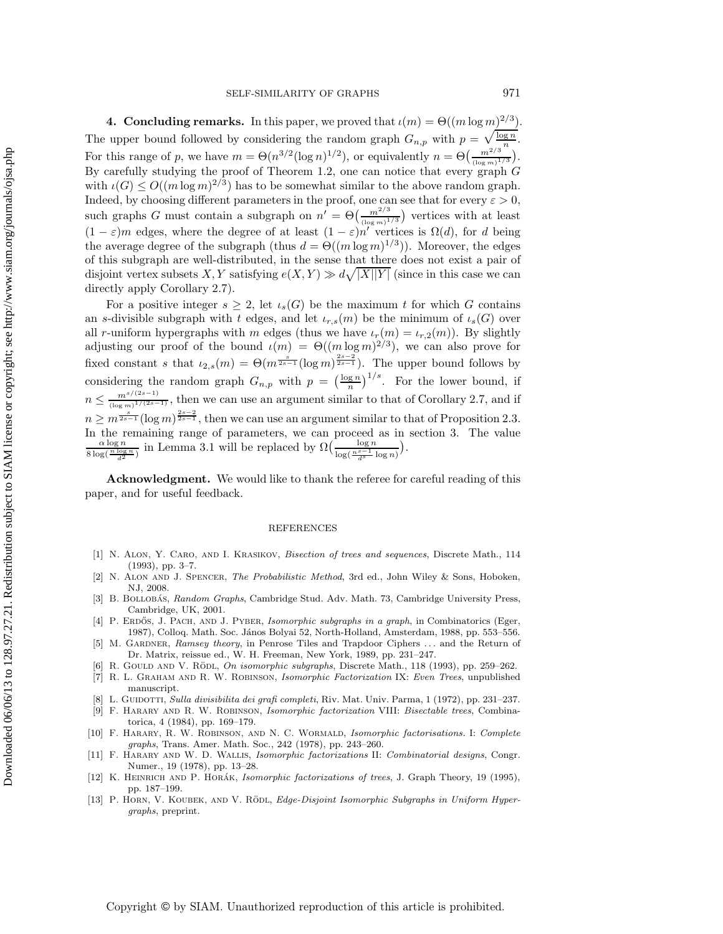**4. Concluding remarks.** In this paper, we proved that  $\iota(m) = \Theta((m \log m)^{2/3})$ . The upper bound followed by considering the random graph  $G_{n,p}$  with  $p = \sqrt{\frac{\log n}{n}}$ . For this range of p, we have  $m = \Theta(n^{3/2} (\log n)^{1/2})$ , or equivalently  $n = \Theta\left(\frac{m^{2/3}}{(\log m)^{1/3}}\right)$  $\frac{m^{2/3}}{(\log m)^{1/3}}$ . By carefully studying the proof of Theorem 1.2, one can notice that every graph  $G$ with  $\iota(G) \leq O((m \log m)^{2/3})$  has to be somewhat similar to the above random graph. Indeed, by choosing different parameters in the proof, one can see that for every  $\varepsilon > 0$ , such graphs G must contain a subgraph on  $n' = \Theta\left(\frac{m^{2/3}}{(\log m)^3}\right)$  $\frac{m^{2/3}}{\left(\log m\right)^{1/3}}$  vertices with at least  $(1 - \varepsilon)m$  edges, where the degree of at least  $(1 - \varepsilon)n'$  vertices is  $\Omega(d)$ , for d being the average degree of the subgraph (thus  $d = \Theta((m \log m)^{1/3})$ ). Moreover, the edges of this subgraph are well-distributed, in the sense that there does not exist a pair of disjoint vertex subsets X, Y satisfying  $e(X,Y) \gg d\sqrt{|X||Y|}$  (since in this case we can directly apply Corollary 2.7).

For a positive integer  $s \geq 2$ , let  $\iota_s(G)$  be the maximum t for which G contains an s-divisible subgraph with t edges, and let  $\iota_{r,s}(m)$  be the minimum of  $\iota_s(G)$  over all r-uniform hypergraphs with m edges (thus we have  $\iota_r(m) = \iota_{r,2}(m)$ ). By slightly adjusting our proof of the bound  $\iota(m) = \Theta((m \log m)^{2/3})$ , we can also prove for fixed constant s that  $\iota_{2,s}(m) = \Theta(m^{\frac{s}{2s-1}}(\log m)^{\frac{2s-2}{2s-1}})$ . The upper bound follows by considering the random graph  $G_{n,p}$  with  $p = \left(\frac{\log n}{n}\right)^{1/s}$ . For the lower bound, if  $n \leq \frac{m^{s/(2s-1)}}{(\log m)^{1/(2s-1)}},$  then we can use an argument similar to that of Corollary 2.7, and if  $n \geq m^{\frac{s}{2s-1}}(\log m)^{\frac{2s-2}{2s-1}},$  then we can use an argument similar to that of Proposition 2.3. In the remaining range of parameters, we can proceed as in section 3. The value  $\frac{\alpha \log n}{\alpha \log n}$  in Lemma 3.1 will be replaced by  $\Omega\left(\frac{\log n}{\alpha \log n}\right)$ .  $\frac{\alpha \log n}{8 \log(\frac{n \log n}{d^2})}$  in Lemma 3.1 will be replaced by  $\Omega\left(\frac{\log n}{\log(\frac{n^{s-1}}{d^s} \log n)}\right)$ .

**Acknowledgment.** We would like to thank the referee for careful reading of this paper, and for useful feedback.

Downloaded 06/06/13 to 128.97.27.21. Redistribution subject to SIAM license or copyright; see http://www.siam.org/journals/ojsa.php Downloaded 06/06/13 to 128.97.27.21. Redistribution subject to SIAM license or copyright; see http://www.siam.org/journals/ojsa.php

## REFERENCES

- [1] N. Alon, Y. Caro, and I. Krasikov, *Bisection of trees and sequences*, Discrete Math., 114 (1993), pp. 3–7.
- [2] N. Alon and J. Spencer, *The Probabilistic Method*, 3rd ed., John Wiley & Sons, Hoboken, NJ, 2008.
- [3] B. BOLLOBÁS, *Random Graphs*, Cambridge Stud. Adv. Math. 73, Cambridge University Press, Cambridge, UK, 2001.
- [4] P. ERDOS, J. PACH, AND J. PYBER, *Isomorphic subgraphs in a graph*, in Combinatorics (Eger, 1987), Colloq. Math. Soc. János Bolyai 52, North-Holland, Amsterdam, 1988, pp. 553–556.
- [5] M. Gardner, *Ramsey theory*, in Penrose Tiles and Trapdoor Ciphers *...* and the Return of Dr. Matrix, reissue ed., W. H. Freeman, New York, 1989, pp. 231–247.
- [6] R. GOULD AND V. RÖDL, *On isomorphic subgraphs*, Discrete Math., 118 (1993), pp. 259–262.
- [7] R. L. Graham and R. W. Robinson, *Isomorphic Factorization* IX: *Even Trees*, unpublished manuscript.
- [8] L. Guidotti, *Sulla divisibilita dei grafi completi*, Riv. Mat. Univ. Parma, 1 (1972), pp. 231–237.
- [9] F. Harary and R. W. Robinson, *Isomorphic factorization* VIII: *Bisectable trees*, Combinatorica, 4 (1984), pp. 169–179.
- [10] F. Harary, R. W. Robinson, and N. C. Wormald, *Isomorphic factorisations.* I: *Complete graphs*, Trans. Amer. Math. Soc., 242 (1978), pp. 243–260.
- [11] F. Harary and W. D. Wallis, *Isomorphic factorizations* II: *Combinatorial designs*, Congr. Numer., 19 (1978), pp. 13–28.
- [12] K. HEINRICH AND P. HORÁK, *Isomorphic factorizations of trees*, J. Graph Theory, 19 (1995), pp. 187–199.
- [13] P. HORN, V. KOUBEK, AND V. RÖDL, *Edge-Disjoint Isomorphic Subgraphs in Uniform Hypergraphs*, preprint.